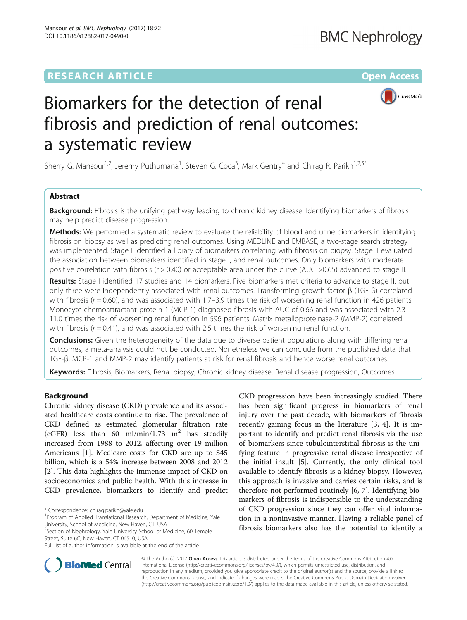# **RESEARCH ARTICLE External Structure Community Community Community Community Community Community Community Community**



# Biomarkers for the detection of renal fibrosis and prediction of renal outcomes: a systematic review

Sherry G. Mansour<sup>1,2</sup>, Jeremy Puthumana<sup>1</sup>, Steven G. Coca<sup>3</sup>, Mark Gentry<sup>4</sup> and Chirag R. Parikh<sup>1,2,5\*</sup>

## Abstract

**Background:** Fibrosis is the unifying pathway leading to chronic kidney disease. Identifying biomarkers of fibrosis may help predict disease progression.

Methods: We performed a systematic review to evaluate the reliability of blood and urine biomarkers in identifying fibrosis on biopsy as well as predicting renal outcomes. Using MEDLINE and EMBASE, a two-stage search strategy was implemented. Stage I identified a library of biomarkers correlating with fibrosis on biopsy. Stage II evaluated the association between biomarkers identified in stage I, and renal outcomes. Only biomarkers with moderate positive correlation with fibrosis  $(r > 0.40)$  or acceptable area under the curve (AUC >0.65) advanced to stage II.

Results: Stage I identified 17 studies and 14 biomarkers. Five biomarkers met criteria to advance to stage II, but only three were independently associated with renal outcomes. Transforming growth factor β (TGF-β) correlated with fibrosis ( $r = 0.60$ ), and was associated with 1.7–3.9 times the risk of worsening renal function in 426 patients. Monocyte chemoattractant protein-1 (MCP-1) diagnosed fibrosis with AUC of 0.66 and was associated with 2.3– 11.0 times the risk of worsening renal function in 596 patients. Matrix metalloproteinase-2 (MMP-2) correlated with fibrosis ( $r = 0.41$ ), and was associated with 2.5 times the risk of worsening renal function.

**Conclusions:** Given the heterogeneity of the data due to diverse patient populations along with differing renal outcomes, a meta-analysis could not be conducted. Nonetheless we can conclude from the published data that TGF-β, MCP-1 and MMP-2 may identify patients at risk for renal fibrosis and hence worse renal outcomes.

Keywords: Fibrosis, Biomarkers, Renal biopsy, Chronic kidney disease, Renal disease progression, Outcomes

### Background

Chronic kidney disease (CKD) prevalence and its associated healthcare costs continue to rise. The prevalence of CKD defined as estimated glomerular filtration rate (eGFR) less than 60 ml/min/1.73 m<sup>2</sup> has steadily increased from 1988 to 2012, affecting over 19 million Americans [\[1\]](#page-11-0). Medicare costs for CKD are up to \$45 billion, which is a 54% increase between 2008 and 2012 [[2\]](#page-11-0). This data highlights the immense impact of CKD on socioeconomics and public health. With this increase in CKD prevalence, biomarkers to identify and predict

<sup>2</sup>Section of Nephrology, Yale University School of Medicine, 60 Temple Street, Suite 6C, New Haven, CT 06510, USA

CKD progression have been increasingly studied. There has been significant progress in biomarkers of renal injury over the past decade, with biomarkers of fibrosis recently gaining focus in the literature [[3](#page-11-0), [4\]](#page-11-0). It is important to identify and predict renal fibrosis via the use of biomarkers since tubulointerstitial fibrosis is the unifying feature in progressive renal disease irrespective of the initial insult [[5\]](#page-11-0). Currently, the only clinical tool available to identify fibrosis is a kidney biopsy. However, this approach is invasive and carries certain risks, and is therefore not performed routinely [\[6, 7](#page-11-0)]. Identifying biomarkers of fibrosis is indispensible to the understanding of CKD progression since they can offer vital information in a noninvasive manner. Having a reliable panel of fibrosis biomarkers also has the potential to identify a



© The Author(s). 2017 **Open Access** This article is distributed under the terms of the Creative Commons Attribution 4.0 International License [\(http://creativecommons.org/licenses/by/4.0/](http://creativecommons.org/licenses/by/4.0/)), which permits unrestricted use, distribution, and reproduction in any medium, provided you give appropriate credit to the original author(s) and the source, provide a link to the Creative Commons license, and indicate if changes were made. The Creative Commons Public Domain Dedication waiver [\(http://creativecommons.org/publicdomain/zero/1.0/](http://creativecommons.org/publicdomain/zero/1.0/)) applies to the data made available in this article, unless otherwise stated.

<sup>\*</sup> Correspondence: [chirag.parikh@yale.edu](mailto:chirag.parikh@yale.edu) <sup>1</sup>

<sup>&</sup>lt;sup>1</sup>Program of Applied Translational Research, Department of Medicine, Yale University, School of Medicine, New Haven, CT, USA

Full list of author information is available at the end of the article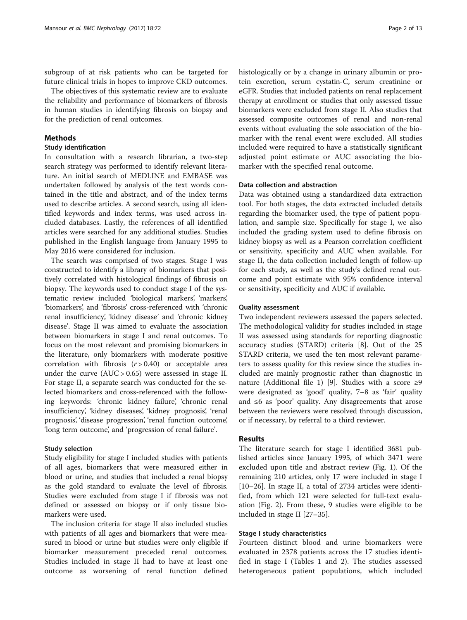subgroup of at risk patients who can be targeted for future clinical trials in hopes to improve CKD outcomes.

The objectives of this systematic review are to evaluate the reliability and performance of biomarkers of fibrosis in human studies in identifying fibrosis on biopsy and for the prediction of renal outcomes.

#### Methods

#### Study identification

In consultation with a research librarian, a two-step search strategy was performed to identify relevant literature. An initial search of MEDLINE and EMBASE was undertaken followed by analysis of the text words contained in the title and abstract, and of the index terms used to describe articles. A second search, using all identified keywords and index terms, was used across included databases. Lastly, the references of all identified articles were searched for any additional studies. Studies published in the English language from January 1995 to May 2016 were considered for inclusion.

The search was comprised of two stages. Stage I was constructed to identify a library of biomarkers that positively correlated with histological findings of fibrosis on biopsy. The keywords used to conduct stage I of the systematic review included 'biological markers', 'markers', 'biomarkers', and 'fibrosis' cross-referenced with 'chronic renal insufficiency', 'kidney disease' and 'chronic kidney disease'. Stage II was aimed to evaluate the association between biomarkers in stage I and renal outcomes. To focus on the most relevant and promising biomarkers in the literature, only biomarkers with moderate positive correlation with fibrosis  $(r > 0.40)$  or acceptable area under the curve  $(AUC > 0.65)$  were assessed in stage II. For stage II, a separate search was conducted for the selected biomarkers and cross-referenced with the following keywords: 'chronic kidney failure', 'chronic renal insufficiency', 'kidney diseases', 'kidney prognosis', 'renal prognosis', 'disease progression', 'renal function outcome', 'long term outcome', and 'progression of renal failure'.

#### Study selection

Study eligibility for stage I included studies with patients of all ages, biomarkers that were measured either in blood or urine, and studies that included a renal biopsy as the gold standard to evaluate the level of fibrosis. Studies were excluded from stage I if fibrosis was not defined or assessed on biopsy or if only tissue biomarkers were used.

The inclusion criteria for stage II also included studies with patients of all ages and biomarkers that were measured in blood or urine but studies were only eligible if biomarker measurement preceded renal outcomes. Studies included in stage II had to have at least one outcome as worsening of renal function defined histologically or by a change in urinary albumin or protein excretion, serum cystatin-C, serum creatinine or eGFR. Studies that included patients on renal replacement therapy at enrollment or studies that only assessed tissue biomarkers were excluded from stage II. Also studies that assessed composite outcomes of renal and non-renal events without evaluating the sole association of the biomarker with the renal event were excluded. All studies included were required to have a statistically significant adjusted point estimate or AUC associating the biomarker with the specified renal outcome.

#### Data collection and abstraction

Data was obtained using a standardized data extraction tool. For both stages, the data extracted included details regarding the biomarker used, the type of patient population, and sample size. Specifically for stage I, we also included the grading system used to define fibrosis on kidney biopsy as well as a Pearson correlation coefficient or sensitivity, specificity and AUC when available. For stage II, the data collection included length of follow-up for each study, as well as the study's defined renal outcome and point estimate with 95% confidence interval or sensitivity, specificity and AUC if available.

#### Quality assessment

Two independent reviewers assessed the papers selected. The methodological validity for studies included in stage II was assessed using standards for reporting diagnostic accuracy studies (STARD) criteria [[8\]](#page-11-0). Out of the 25 STARD criteria, we used the ten most relevant parameters to assess quality for this review since the studies included are mainly prognostic rather than diagnostic in nature (Additional file [1](#page-10-0)) [\[9](#page-11-0)]. Studies with a score ≥9 were designated as 'good' quality, 7–8 as 'fair' quality and ≤6 as 'poor' quality. Any disagreements that arose between the reviewers were resolved through discussion, or if necessary, by referral to a third reviewer.

#### Results

The literature search for stage I identified 3681 published articles since January 1995, of which 3471 were excluded upon title and abstract review (Fig. [1\)](#page-2-0). Of the remaining 210 articles, only 17 were included in stage I [[10](#page-11-0)–[26](#page-11-0)]. In stage II, a total of 2734 articles were identified, from which 121 were selected for full-text evaluation (Fig. [2](#page-3-0)). From these, 9 studies were eligible to be included in stage II [[27](#page-11-0)–[35](#page-11-0)].

#### Stage I study characteristics

Fourteen distinct blood and urine biomarkers were evaluated in 2378 patients across the 17 studies identified in stage I (Tables [1](#page-4-0) and [2\)](#page-6-0). The studies assessed heterogeneous patient populations, which included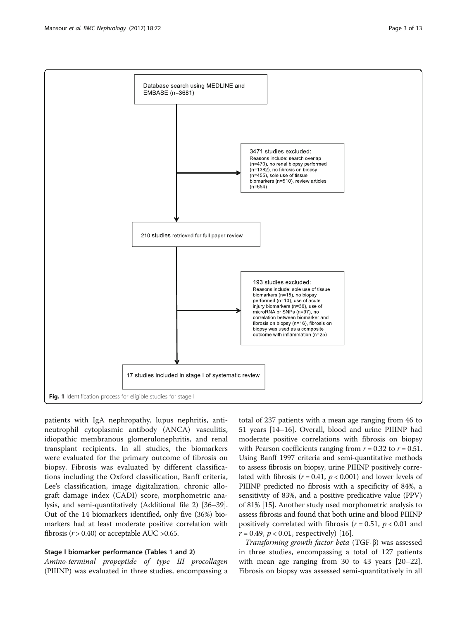<span id="page-2-0"></span>

patients with IgA nephropathy, lupus nephritis, antineutrophil cytoplasmic antibody (ANCA) vasculitis, idiopathic membranous glomerulonephritis, and renal transplant recipients. In all studies, the biomarkers were evaluated for the primary outcome of fibrosis on biopsy. Fibrosis was evaluated by different classifications including the Oxford classification, Banff criteria, Lee's classification, image digitalization, chronic allograft damage index (CADI) score, morphometric analysis, and semi-quantitatively (Additional file [2\)](#page-10-0) [\[36](#page-11-0)–[39](#page-12-0)]. Out of the 14 biomarkers identified, only five (36%) biomarkers had at least moderate positive correlation with fibrosis ( $r$  > 0.40) or acceptable AUC > 0.65.

#### Stage I biomarker performance (Tables [1](#page-4-0) and [2](#page-6-0))

Amino-terminal propeptide of type III procollagen (PIIINP) was evaluated in three studies, encompassing a

total of 237 patients with a mean age ranging from 46 to 51 years [\[14](#page-11-0)–[16\]](#page-11-0). Overall, blood and urine PIIINP had moderate positive correlations with fibrosis on biopsy with Pearson coefficients ranging from  $r = 0.32$  to  $r = 0.51$ . Using Banff 1997 criteria and semi-quantitative methods to assess fibrosis on biopsy, urine PIIINP positively correlated with fibrosis ( $r = 0.41$ ,  $p < 0.001$ ) and lower levels of PIIINP predicted no fibrosis with a specificity of 84%, a sensitivity of 83%, and a positive predicative value (PPV) of 81% [\[15](#page-11-0)]. Another study used morphometric analysis to assess fibrosis and found that both urine and blood PIIINP positively correlated with fibrosis ( $r = 0.51$ ,  $p < 0.01$  and  $r = 0.49, p < 0.01$ , respectively) [[16\]](#page-11-0).

Transforming growth factor beta (TGF-β) was assessed in three studies, encompassing a total of 127 patients with mean age ranging from 30 to 43 years [[20](#page-11-0)–[22](#page-11-0)]. Fibrosis on biopsy was assessed semi-quantitatively in all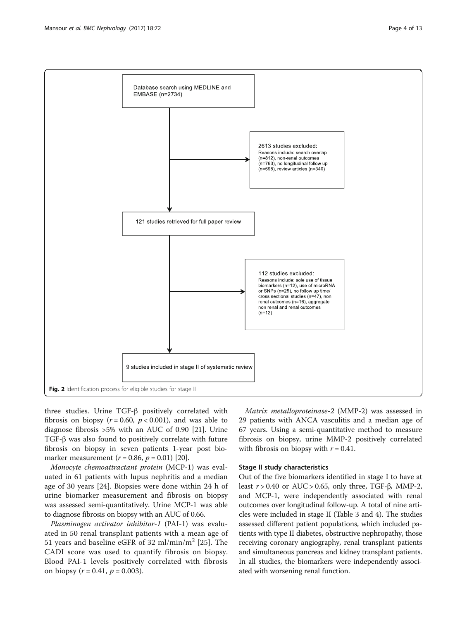<span id="page-3-0"></span>

three studies. Urine TGF-β positively correlated with fibrosis on biopsy ( $r = 0.60$ ,  $p < 0.001$ ), and was able to diagnose fibrosis >5% with an AUC of 0.90 [\[21\]](#page-11-0). Urine TGF-β was also found to positively correlate with future fibrosis on biopsy in seven patients 1-year post biomarker measurement ( $r = 0.86$ ,  $p = 0.01$ ) [[20](#page-11-0)].

Monocyte chemoattractant protein (MCP-1) was evaluated in 61 patients with lupus nephritis and a median age of 30 years [[24\]](#page-11-0). Biopsies were done within 24 h of urine biomarker measurement and fibrosis on biopsy was assessed semi-quantitatively. Urine MCP-1 was able to diagnose fibrosis on biopsy with an AUC of 0.66.

Plasminogen activator inhibitor-1 (PAI-1) was evaluated in 50 renal transplant patients with a mean age of 51 years and baseline eGFR of 32 ml/min/m<sup>2</sup> [\[25](#page-11-0)]. The CADI score was used to quantify fibrosis on biopsy. Blood PAI-1 levels positively correlated with fibrosis on biopsy ( $r = 0.41$ ,  $p = 0.003$ ).

Matrix metalloproteinase-2 (MMP-2) was assessed in 29 patients with ANCA vasculitis and a median age of 67 years. Using a semi-quantitative method to measure fibrosis on biopsy, urine MMP-2 positively correlated with fibrosis on biopsy with  $r = 0.41$ .

#### Stage II study characteristics

Out of the five biomarkers identified in stage I to have at least  $r > 0.40$  or AUC > 0.65, only three, TGF- $\beta$ , MMP-2, and MCP-1, were independently associated with renal outcomes over longitudinal follow-up. A total of nine articles were included in stage II (Table [3](#page-7-0) and [4\)](#page-8-0). The studies assessed different patient populations, which included patients with type II diabetes, obstructive nephropathy, those receiving coronary angiography, renal transplant patients and simultaneous pancreas and kidney transplant patients. In all studies, the biomarkers were independently associated with worsening renal function.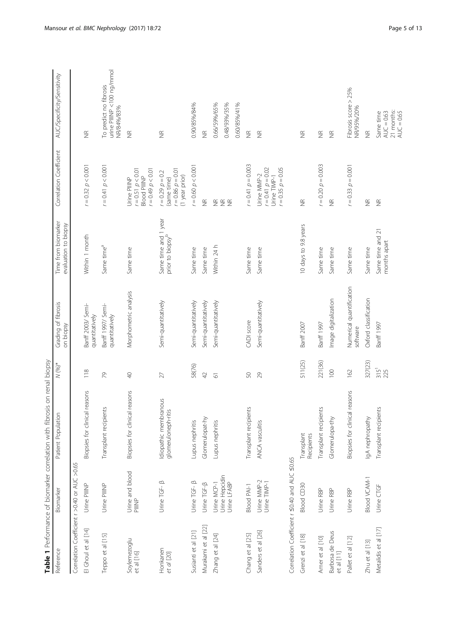<span id="page-4-0"></span>

|                                               |                                              | Table 1 Performance of biomarker correlation with fibrosis on renal biopsy |                    |                                      |                                                      |                                                                                  |                                                                   |
|-----------------------------------------------|----------------------------------------------|----------------------------------------------------------------------------|--------------------|--------------------------------------|------------------------------------------------------|----------------------------------------------------------------------------------|-------------------------------------------------------------------|
| Reference                                     | Biomarker                                    | Patient Population                                                         | $N (96)$ *         | Grading of fibrosis<br>on biopsy     | Time from biomarker<br>evaluation to biopsy          | Correlation Coefficient                                                          | AUC/Specificity/Sensitivity                                       |
| Correlation Coefficient r >0.40 or AUC >0.65  |                                              |                                                                            |                    |                                      |                                                      |                                                                                  |                                                                   |
| El Ghoul et al [14]                           | Urine PIINP                                  | Biopsies for clinical reasons                                              | 118                | Banff 2003/ Semi-<br>quantitatively  | Within 1 month                                       | $r = 0.32$ $p < 0.001$                                                           | $\widetilde{\Xi}$                                                 |
| Teppo et al [15]                              | Urine PIINP                                  | Transplant recipients                                                      | 2                  | Banff 1997/ Semi-<br>quantitatively  | Same time <sup>a</sup>                               | $r = 0.41$ $p < 0.001$                                                           | urine PIIINP <100 ng/mmol<br>To predict no fibrosis<br>NR/84%/83% |
| Soylemezoglu<br>et al [16]                    | Urine and blood<br>PIIINP                    | Biopsies for clinical reasons                                              | $\sqrt{2}$         | Morphometric analysis                | Same time                                            | $r = 0.51$ $p < 0.01$<br>$10.0 > d$ 6+0 =<br><b>Blood PIIINP</b><br>Urine PIIINP | $\widetilde{\Xi}$                                                 |
| Honkanen<br>et al [20]                        | Urine TGF- B                                 | Idiopathic membranous<br>glomeruloneph-ritis                               | 27                 | Semi-quantitatively                  | Same time and 1 year<br>prior to biopsy <sup>b</sup> | $10.0 = 0.86$ $p = 0.01$<br>$= 0.29 p = 0.2$<br>(1 year prior)<br>(same time)    | $\widetilde{\Xi}$                                                 |
| Susianti et al [21]                           | Urine TGF- B                                 | Lupus nephritis                                                            | 58(76)             | Semi-quantitatively                  | Same time                                            | $= 0.60 p < 0.001$                                                               | 0.90/85%/84%                                                      |
| Murakami et al [22]                           | Urine TGF-B                                  | Glomerulopat-hy                                                            | 42                 | Semi-quantitatively                  | Same time                                            | $\frac{\alpha}{2}$                                                               | $\widetilde{\Xi}$                                                 |
| Zhang et al [24]                              | Urine Hepcidin<br>Urine LFABP<br>Urine MCP-1 | Lupus nephritis                                                            | $\overline{\circ}$ | Semi-quantitatively                  | Within 24 h                                          | $\Sigma \Sigma$                                                                  | 0.66/59%/65%<br>0.48/93%/35%<br>0.60/85%/41%                      |
| Chang et al [25]                              | <b>Blood PAI-1</b>                           | Transplant recipients                                                      | SO,                | CADI score                           | Same time                                            | $r = 0.41$ $p = 0.003$                                                           | $\widetilde{\Xi}$                                                 |
| Sanders et al [26]                            | Urine MMP-2<br>Urine TIMP-1                  | ANCA vasculitis                                                            | 29                 | Semi-quantitatively                  | Same time                                            | $r = 0.41$ $p = 0.02$<br>$r = 0.35$ $p = 0.05$<br>Urine MMP-2<br>Jrine TIMP-1    | $\widetilde{\Xi}$                                                 |
| Correlation Coefficient r ≤0.40 and AUC ≤0.65 |                                              |                                                                            |                    |                                      |                                                      |                                                                                  |                                                                   |
| Grenzi et al [18]                             | <b>Blood CD30</b>                            | Transplant<br>Recipients                                                   | 511(25)            | Banff 2007                           | 10 days to 9.8 years                                 | $\widetilde{\Xi}$                                                                | $\widetilde{\Xi}$                                                 |
| Amer et al [10]                               | Urine RBP                                    | Transplant recipients                                                      | 221(36)            | Banff 1997                           | Same time                                            | $r = 0.20$ $p = 0.003$                                                           | $\widetilde{\Xi}$                                                 |
| Barbosa de Deus<br>et al [11]                 | Urine RBP                                    | Glomerulopa-thy                                                            | 100                | Image digitalization                 | Same time                                            | $\frac{\alpha}{2}$                                                               | $\widetilde{\Xi}$                                                 |
| Pallet et al [12]                             | Urine RBP                                    | Biopsies for clinical reasons                                              | 162                | Numerical quantification<br>software | Same time                                            | $r = 0.33$ $p = 0.001$                                                           | Fibrosis score > 25%<br>NR/95%/20%                                |
| Zhu et al [13]                                | <b>Blood VCAM-1</b>                          | IgA nephropathy                                                            | 327(23)            | Oxford classification                | Same time                                            | $\widetilde{\Xi}$                                                                | $rac{\infty}{\infty}$                                             |
| Metalidis et al [17]                          | Urine CTGF                                   | Transplant recipients                                                      | $315^1$            | Banff 1997                           | Same time and 21<br>months apart                     | $\widetilde{\Xi}$                                                                | 21 months:<br>Same time<br>$AUC = 0.63$                           |

AUC  $= 0.65$ 

 $AUC = 0.65$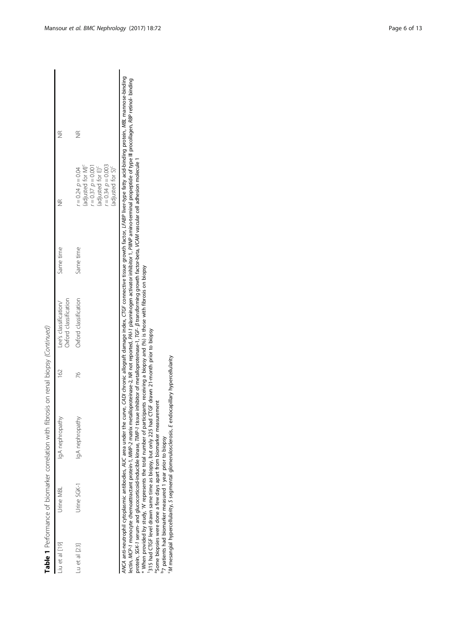| iu et al [19] | Urine MBL   | IgA nephropathy | $\frac{1}{6}$ | Oxford classification<br>Lee's classification/ | Same time |                                                                                                                                                                              |                         |  |
|---------------|-------------|-----------------|---------------|------------------------------------------------|-----------|------------------------------------------------------------------------------------------------------------------------------------------------------------------------------|-------------------------|--|
| Lu et al [23] | Urine SGK-1 | lgA nephropathy | 76            | Oxford classification                          | Same time | (adjusted for M) <sup>c</sup><br>$r = 0.34$ $p = 0.003$<br>$r = 0.37$ $p = 0.001$<br>(adjusted for E) <sup>c</sup><br>(adjusted for S) <sup>c</sup><br>$r = 0.24$ $p = 0.04$ | $\frac{\infty}{\infty}$ |  |

\* When provided by study, 'W represents the total number of participants receiving a biopsy and (%) is those with fibrosis on biopsy<br><sup>1</sup>315 had CTGF level drawn same time as biopsy, but only 225 had CTGF drawn 21-month pri \* When provided by study, 'N' represents the total number of participants receiving a biopsy and (%) is those with fibrosis on biopsy

1315 had CTGF level drawn same time as biopsy, but only 225 had CTGF drawn 21-month prior to biopsy

<sup>a</sup>Some biopsies were done a few days apart from biomarker measurement

b7 patients had biomarker measured 1 year prior to biopsy

cM mesangial hypercellularity, S segmental glomerulosclerosis, E endocapillary hypercellularity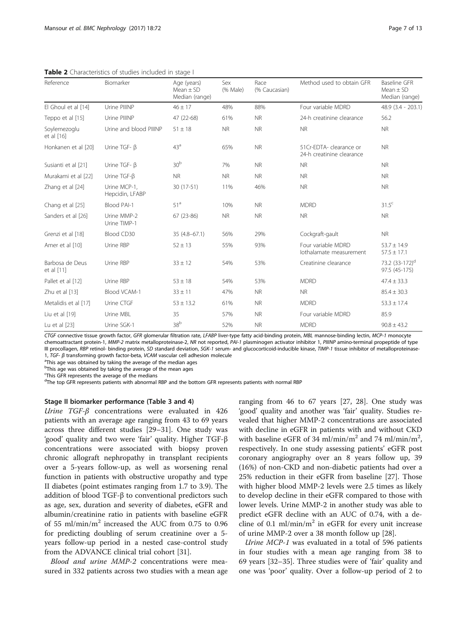| Reference                     | Biomarker                       | Age (years)<br>Mean $\pm$ SD<br>Median (range) | Sex<br>(% Male) | Race<br>(% Caucasian) | Method used to obtain GFR                            | <b>Baseline GFR</b><br>Mean $\pm$ SD<br>Median (range) |
|-------------------------------|---------------------------------|------------------------------------------------|-----------------|-----------------------|------------------------------------------------------|--------------------------------------------------------|
| El Ghoul et al [14]           | Urine PIIINP                    | $46 \pm 17$                                    | 48%             | 88%                   | Four variable MDRD                                   | $48.9$ $(3.4 - 203.1)$                                 |
| Teppo et al [15]              | Urine PIIINP                    | 47 (22-68)                                     | 61%             | <b>NR</b>             | 24-h creatinine clearance                            | 56.2                                                   |
| Soylemezoglu<br>et al [16]    | Urine and blood PIIINP          | $51 \pm 18$                                    | <b>NR</b>       | <b>NR</b>             | <b>NR</b>                                            | <b>NR</b>                                              |
| Honkanen et al [20]           | Urine TGF- B                    | 43 <sup>a</sup>                                | 65%             | <b>NR</b>             | 51Cr-FDTA- clearance or<br>24-h creatinine clearance | <b>NR</b>                                              |
| Susianti et al [21]           | Urine TGF- B                    | 30 <sup>b</sup>                                | 7%              | <b>NR</b>             | <b>NR</b>                                            | <b>NR</b>                                              |
| Murakami et al [22]           | Urine TGF-B                     | <b>NR</b>                                      | <b>NR</b>       | <b>NR</b>             | NR.                                                  | <b>NR</b>                                              |
| Zhang et al [24]              | Urine MCP-1.<br>Hepcidin, LFABP | 30 (17-51)                                     | 11%             | 46%                   | <b>NR</b>                                            | <b>NR</b>                                              |
| Chang et al [25]              | Blood PAI-1                     | 51 <sup>a</sup>                                | 10%             | <b>NR</b>             | <b>MDRD</b>                                          | $31.5^{\circ}$                                         |
| Sanders et al [26]            | Urine MMP-2<br>Urine TIMP-1     | $67(23-86)$                                    | <b>NR</b>       | <b>NR</b>             | <b>NR</b>                                            | <b>NR</b>                                              |
| Grenzi et al [18]             | Blood CD30                      | $35(4.8 - 67.1)$                               | 56%             | 29%                   | Cockgraft-gault                                      | <b>NR</b>                                              |
| Amer et al [10]               | Urine RBP                       | $52 \pm 13$                                    | 55%             | 93%                   | Four variable MDRD<br>lothalamate measurement        | $53.7 \pm 14.9$<br>$57.5 \pm 17.1$                     |
| Barbosa de Deus<br>et al [11] | Urine RBP                       | $33 \pm 12$                                    | 54%             | 53%                   | Creatinine clearance                                 | 73.2 (33-172) <sup>d</sup><br>97.5 (45-175)            |
| Pallet et al [12]             | Urine RBP                       | $53 \pm 18$                                    | 54%             | 53%                   | <b>MDRD</b>                                          | $47.4 \pm 33.3$                                        |
| Zhu et al [13]                | Blood VCAM-1                    | $33 \pm 11$                                    | 47%             | <b>NR</b>             | <b>NR</b>                                            | $85.4 \pm 30.3$                                        |
| Metalidis et al [17]          | Urine CTGF                      | $53 \pm 13.2$                                  | 61%             | <b>NR</b>             | <b>MDRD</b>                                          | $53.3 \pm 17.4$                                        |
| Liu et al [19]                | Urine MBL                       | 35                                             | 57%             | <b>NR</b>             | Four variable MDRD                                   | 85.9                                                   |
| Lu et al [23]                 | Urine SGK-1                     | 38 <sup>b</sup>                                | 52%             | <b>NR</b>             | <b>MDRD</b>                                          | $90.8 \pm 43.2$                                        |

<span id="page-6-0"></span>Table 2 Characteristics of studies included in stage I

CTGF connective tissue growth factor, GFR glomerular filtration rate, LFABP liver-type fatty acid-binding protein, MBL mannose-binding lectin, MCP-1 monocyte chemoattractant protein-1, MMP-2 matrix metalloproteinase-2, NR not reported, PAI-1 plasminogen activator inhibitor 1, PIIINP amino-terminal propeptide of type III procollagen, RBP retinol- binding protein, SD standard deviation, SGK-1 serum- and glucocorticoid-inducible kinase, TIMP-1 tissue inhibitor of metalloproteinase-1, TGF-  $\beta$  transforming growth factor-beta, VCAM vascular cell adhesion molecule

<sup>a</sup>This age was obtained by taking the average of the median ages

<sup>b</sup>This age was obtained by taking the average of the mean ages

<sup>c</sup>This GFR represents the average of the medians

<sup>d</sup>The top GFR represents patients with abnormal RBP and the bottom GFR represents patients with normal RBP

#### Stage II biomarker performance (Table [3](#page-7-0) and [4\)](#page-8-0)

Urine TGF-β concentrations were evaluated in 426 patients with an average age ranging from 43 to 69 years across three different studies [[29](#page-11-0)–[31](#page-11-0)]. One study was 'good' quality and two were 'fair' quality. Higher TGF-β concentrations were associated with biopsy proven chronic allograft nephropathy in transplant recipients over a 5-years follow-up, as well as worsening renal function in patients with obstructive uropathy and type II diabetes (point estimates ranging from 1.7 to 3.9). The addition of blood TGF-β to conventional predictors such as age, sex, duration and severity of diabetes, eGFR and albumin/creatinine ratio in patients with baseline eGFR of 55 ml/min/ $m<sup>2</sup>$  increased the AUC from 0.75 to 0.96 for predicting doubling of serum creatinine over a 5 years follow-up period in a nested case-control study from the ADVANCE clinical trial cohort [\[31\]](#page-11-0).

Blood and urine MMP-2 concentrations were measured in 332 patients across two studies with a mean age

ranging from 46 to 67 years [\[27, 28\]](#page-11-0). One study was 'good' quality and another was 'fair' quality. Studies revealed that higher MMP-2 concentrations are associated with decline in eGFR in patients with and without CKD with baseline eGFR of 34 ml/min/m<sup>2</sup> and 74 ml/min/m<sup>2</sup>, respectively. In one study assessing patients' eGFR post coronary angiography over an 8 years follow up, 39 (16%) of non-CKD and non-diabetic patients had over a 25% reduction in their eGFR from baseline [\[27](#page-11-0)]. Those with higher blood MMP-2 levels were 2.5 times as likely to develop decline in their eGFR compared to those with lower levels. Urine MMP-2 in another study was able to predict eGFR decline with an AUC of 0.74, with a decline of 0.1 ml/min/ $m<sup>2</sup>$  in eGFR for every unit increase of urine MMP-2 over a 38 month follow up [[28](#page-11-0)].

Urine MCP-1 was evaluated in a total of 596 patients in four studies with a mean age ranging from 38 to 69 years [[32](#page-11-0)–[35](#page-11-0)]. Three studies were of 'fair' quality and one was 'poor' quality. Over a follow-up period of 2 to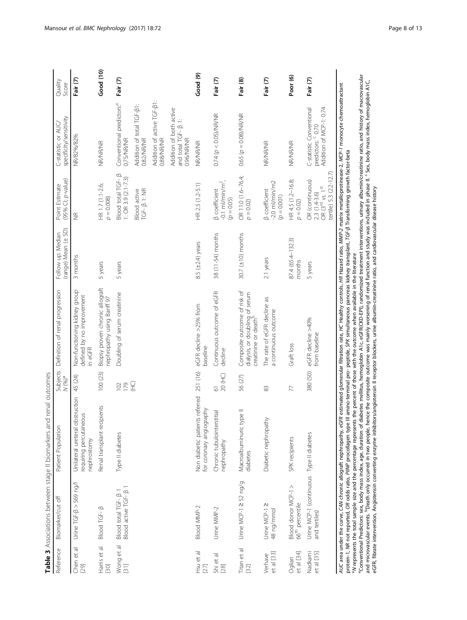<span id="page-7-0"></span>

| Reference              | Biomarker/cut off                                                              | Patient Population                                                       | Subjects<br>$N (96)^*$    | Definition of renal progression                                                                                                                                                                                                                                                                                                                                                                                                                                                                                                                                                                                                                                                                                                                                                                                                                                                                                           | (range) Mean (± SD)<br>Follow up: Median | (95% CI; p-value)<br>Point Estimate                                                                    | specificity/sensitivity<br>C-statistic or AUC                             | Quality<br>Score    |
|------------------------|--------------------------------------------------------------------------------|--------------------------------------------------------------------------|---------------------------|---------------------------------------------------------------------------------------------------------------------------------------------------------------------------------------------------------------------------------------------------------------------------------------------------------------------------------------------------------------------------------------------------------------------------------------------------------------------------------------------------------------------------------------------------------------------------------------------------------------------------------------------------------------------------------------------------------------------------------------------------------------------------------------------------------------------------------------------------------------------------------------------------------------------------|------------------------------------------|--------------------------------------------------------------------------------------------------------|---------------------------------------------------------------------------|---------------------|
| et al<br>Chen<br>[29]  | Urine TGF-B > 569 ng/l                                                         | Unilateral ureteral obstruction<br>requiring percutaneous<br>nephrostomy | 45 (24)                   | Non-functioning kidney group<br>defined by no improvement<br>in eGFR                                                                                                                                                                                                                                                                                                                                                                                                                                                                                                                                                                                                                                                                                                                                                                                                                                                      | 3 months                                 | $\widetilde{\Xi}$                                                                                      | NR/82%/82%                                                                | Fair (7)            |
| Harris et al<br>[30]   | Blood TGF- B                                                                   | Renal transplant recipients                                              | 100 (23)                  | Biopsy proven chronic allograft<br>nephropathy using Banff 97                                                                                                                                                                                                                                                                                                                                                                                                                                                                                                                                                                                                                                                                                                                                                                                                                                                             | 5 years                                  | HR 1.7 (1.1-2.6;<br>$p = 0.008$                                                                        | <b>NR/NR/NR</b>                                                           | Good (10)           |
| Wong et al<br>$[31]$   | Blood active TGF- $\beta$ 1<br>Blood total TGF- B                              | Type II diabetes                                                         | 102                       | Doubling of serum creatinine                                                                                                                                                                                                                                                                                                                                                                                                                                                                                                                                                                                                                                                                                                                                                                                                                                                                                              | 5 years                                  | Blood total TGF- $\beta$<br>1: OR 3.9 $(2.1 - 7.3)$                                                    | Conventional predictors. <sup>a</sup><br>0.75/NR/NR                       | Fair (7)            |
|                        |                                                                                |                                                                          | E                         |                                                                                                                                                                                                                                                                                                                                                                                                                                                                                                                                                                                                                                                                                                                                                                                                                                                                                                                           |                                          | $TGF - \beta$ 1: NR<br>Blood active                                                                    | Addition of total TGF-B1:<br>0.82/NR/NR                                   |                     |
|                        |                                                                                |                                                                          |                           |                                                                                                                                                                                                                                                                                                                                                                                                                                                                                                                                                                                                                                                                                                                                                                                                                                                                                                                           |                                          |                                                                                                        | Addition of active TGF-B1:<br>0.88/NR/NR                                  |                     |
|                        |                                                                                |                                                                          |                           |                                                                                                                                                                                                                                                                                                                                                                                                                                                                                                                                                                                                                                                                                                                                                                                                                                                                                                                           |                                          |                                                                                                        | Addition of both active<br>and total TGF- $\beta$ 1:<br>0.96/NR/NR        |                     |
| Hsu et al<br>$[27]$    | Blood MMP-2                                                                    | Non diabetic patients referred<br>for coronary angiography               | 251 (16)                  | eGFR decline >25% from<br>paseline                                                                                                                                                                                                                                                                                                                                                                                                                                                                                                                                                                                                                                                                                                                                                                                                                                                                                        | 8.5 (±2.4) years                         | HR 2.5 (1.2-5.1)                                                                                       | NR/NR/NR                                                                  | Good (9)            |
| Shi et al<br>[28]      | Urine MMP-2                                                                    | Chronic tubulointerstitial<br>nephropathy                                | 20 (HC)<br>$\overline{6}$ | Continuous outcome of eGFR<br>decline                                                                                                                                                                                                                                                                                                                                                                                                                                                                                                                                                                                                                                                                                                                                                                                                                                                                                     | 38 (11-54) months                        | $-0.1$ ml/min/m <sup>2</sup> ,<br><b>β</b> coefficient<br>$(p = 0.05)$                                 | $0.74~(p < 0.05)$ /NR/NR                                                  | Fair (7)            |
| Titan et al<br>$[32]$  | Urine MCP-1 ≥ 52 ng/g                                                          | Macroalbuminuric type II<br>diabetes                                     | 56 (27)                   | Composite outcome of risk of<br>dialysis, or doubling of serum<br>creatinine or death <sup>b</sup>                                                                                                                                                                                                                                                                                                                                                                                                                                                                                                                                                                                                                                                                                                                                                                                                                        | 30.7 $(\pm 10)$ months                   | OR 11.0 (1.6-76.4;<br>$\rho=0.02)$                                                                     | $0.65~(p = 0.08)/N$ R/NR                                                  | Fair (8)            |
| et al [33]<br>Verhave  | Urine MCP-12<br>48 ng/mmol                                                     | Diabetic nephropathy                                                     | 83                        | The rate of eGFR decline as<br>a continuous outcome                                                                                                                                                                                                                                                                                                                                                                                                                                                                                                                                                                                                                                                                                                                                                                                                                                                                       | 2.1 years                                | $-2.0$ ml/min/m2<br><b>B</b> coefficient<br>$(\rho = 0.001)$                                           | <b>NR/NR/NR</b>                                                           | Fair (7)            |
| et al [34]<br>Ogliari  | Blood donor MCP-1 ><br>66 <sup>th</sup> percentile                             | SPK recipients                                                           | 77                        | Graft loss                                                                                                                                                                                                                                                                                                                                                                                                                                                                                                                                                                                                                                                                                                                                                                                                                                                                                                                | 87.4 (65.4–132.3)<br>months              | HR 4.5 (1.2-16.8;<br>$p = 0.02$                                                                        | NR/NR/NR                                                                  | Poor <sub>(6)</sub> |
| Nadkarni<br>et al [35] | Urine MCP-1 (continuous Type II diabetes<br>and tertiles)                      |                                                                          | 380 (50)                  | eGFR decline >40%<br>from baseline                                                                                                                                                                                                                                                                                                                                                                                                                                                                                                                                                                                                                                                                                                                                                                                                                                                                                        | 5 years                                  | tertile) 5.3 (2.2-12.7)<br>OR (continuous)<br>OR $(3^{\text{rd}}$ vs. $1^{\text{st}}$<br>2.3 (1.4-3.6) | Addition of MCP-1: 0.74<br>C-statistic Conventional<br>predictors: ° 0.70 | Fair (7)            |
|                        | <sup>a</sup> Conventional Predictors: sex, body mass index, age, duration of d |                                                                          |                           | iabetes mellitus, hemoglobin A1c, eGFR(CKD-EPI), randomized treatment interventions, urinary albumin/creatinine ratio, and history of macrovascular<br>and microvascular events. Poeath only occurred in two people, hence the composite outcome was mainly worsening of renal function and study was included in phase II. ' Sex, body mass index, hemoglobin A1C,<br>AUC area under the curve, CAN chronic allograft nephropathy, eGFR estimated glomerular filtration rate, HC Healthy controls, HR Hazard ratio, MMP-2 matrix metalloprotinease-2, MCP-1 monocyte chemoattractant<br>protein-1, MR not reported, OR odds ratio, PIMP procollagen type III amino-terminal pro- peptide, SPK simultaneous pancreas kidney transplant, TGF-β Transforming growth factor-beta<br>*N represents the total sample size and the percentage represents the percent of those with the outcome when available in the literature |                                          |                                                                                                        |                                                                           |                     |
|                        |                                                                                |                                                                          |                           | eGFR, fibrate intervention, Angiotensin converting enzyme inhibitors/angiotensin II receptor blockers, urine albumin-creatinine ratio, and cardiovascular disease history                                                                                                                                                                                                                                                                                                                                                                                                                                                                                                                                                                                                                                                                                                                                                 |                                          |                                                                                                        |                                                                           |                     |

Table 3 Associations between stage II biomarkers and renal outcomes Table 3 Associations between stage II biomarkers and renal outcomes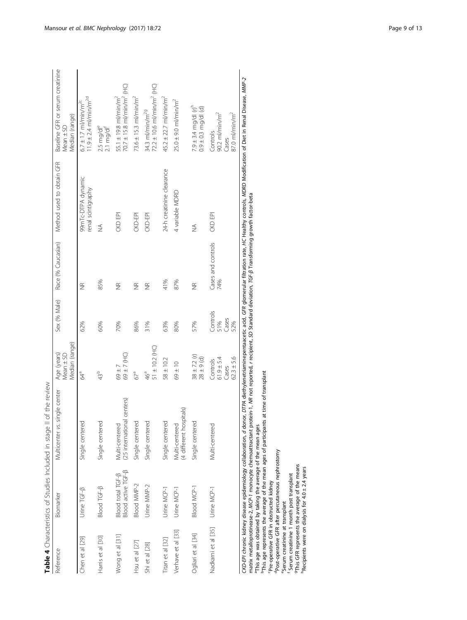<span id="page-8-0"></span>

|                     | Table 4 Characteristics of Studies Included in stage II | of the review                                                                                                                                                                                                       |                                                     |                                 |                           |                                          |                                                                                 |
|---------------------|---------------------------------------------------------|---------------------------------------------------------------------------------------------------------------------------------------------------------------------------------------------------------------------|-----------------------------------------------------|---------------------------------|---------------------------|------------------------------------------|---------------------------------------------------------------------------------|
| Reference           | Biomarker                                               | Multicenter vs. single center                                                                                                                                                                                       | Median (range)<br>Age (years)<br>Mean $\pm$ SD      | Sex (% Male)                    | Race (% Caucasian)        | Method used to obtain GFR                | Baseline GFR or serum creatinine<br>Median (range)<br>Mean ± SD                 |
| Chen et al [29]     | Urine TGF-B                                             | Single centered                                                                                                                                                                                                     | 64ª                                                 | 62%                             | $\frac{\alpha}{2}$        | 99mTc-DTPA dynamic<br>renal scintigraphy | $11.9 \pm 2.4$ m/min/m <sup>2d</sup><br>$6.7 \pm 1.7$ ml/min/m <sup>2c</sup>    |
| Harris et al [30]   | Blood TGF-B                                             | Single centered                                                                                                                                                                                                     | 43 <sup>b</sup>                                     | 60%                             | 85%                       | $\frac{1}{2}$                            | 2.5 mg/dle<br>2.1 mg/dl <sup>f</sup>                                            |
| Wong et al [31]     | Blood active TGF-B<br>Blood total TGF-B                 | centers)<br>(25 international<br>Multi-centered                                                                                                                                                                     | $59 \pm 7$ (HC)<br>69±7                             | 70%                             | $\frac{\alpha}{2}$        | CKD EPI                                  | 70.7 ± 15.8 ml/min/m <sup>2</sup> (HC)<br>$55.1 \pm 19.8$ ml/min/m <sup>2</sup> |
| Hsu et al [27]      | Blood MMP-2                                             | Single centered                                                                                                                                                                                                     | 67ª                                                 | 86%                             | $\frac{\alpha}{2}$        | CKD-EPI                                  | $73.6 \pm 15.3$ ml/min/m <sup>2</sup>                                           |
| Shi et al [28]      | Urine MMP-2                                             | Single centered                                                                                                                                                                                                     | $51 \pm 10.2$ (HC)<br>46ª                           | 31%                             | $\frac{\alpha}{2}$        | CKD-EPI                                  | $72.2 \pm 10.6$ ml/min/m <sup>2</sup> (HC)<br>34.3 $m$ / $min/m29$              |
| Titan et al [32]    | Urine MCP-1                                             | Single centered                                                                                                                                                                                                     | $58 \pm 10.2$                                       | 63%                             | 41%                       | 24-h creatinine clearance                | $45.2 \pm 22.7$ ml/min/m <sup>2</sup>                                           |
| Verhave et al [33]  | Urine MCP-1                                             | (4 different hospitals)<br>Multi-centered                                                                                                                                                                           | $69 \pm 10$                                         | 80%                             | 87%                       | 4 variable MDRD                          | $25.0 \pm 9.0$ ml/min/m <sup>2</sup>                                            |
| Ogliari et al [34]  | <b>Blood MCP-1</b>                                      | Single centered                                                                                                                                                                                                     | $38 \pm 7.2$ (r)<br>$28 \pm 9$ (d)                  | 57%                             | $\frac{\alpha}{2}$        | $\frac{1}{2}$                            | $7.9 \pm 3.4$ mg/dl (r) <sup>n</sup><br>$0.9 \pm 0.3$ mg/dl (d)                 |
| Nadkarni et al [35] | Urine MCP-1                                             | Multi-centered                                                                                                                                                                                                      | $62.3 \pm 5.6$<br>$61.9 + 5.4$<br>Controls<br>Cases | Controls<br>Cases<br>51%<br>52% | Cases and controls<br>74% | CKD EPI                                  | $90.2$ ml/min/m <sup>2</sup><br>$87.0 \text{ m/min/m}^2$<br>Controls<br>Cases   |
|                     |                                                         | CKD-EPI chronic kidney disease epidemiology collaboration, d donor, DTPA diethylenetriaminepentaacetic acid, GFR glomerular filtration rate, HC Healthy controls, MDRD Modification of Diet in Renal Disease, MMP-2 |                                                     |                                 |                           |                                          |                                                                                 |

CKD-EPI chronic kidney disease epidemiology collaboration, d donor, DTPA diethylenetriaminepentaacetic acid, GFR glomerular filtration rate, HC Healthy controls, MDRD Modification of Diet in Renal Disease, MMP-2 *CKD-EPI* chronic kidney disease epidemiology collaboration, *d* donor, *DTPA* diethylenetriaminepentaacetic acid, *GFR* glomerular filtration rate, HC Healthy controls, *MD*<br>matrix metalloprotinease 2, *MCP-* 1 monocyte c

matrix metalloprotinease-2, MCP-1 monocyte chemoattractant protein-1, NR not reported, r recipient, SD Standard deviation, TGF-β Transforming growth factor-beta

aThis age was obtained by taking the average of the mean ages

bThis age represents the average of the mean ages of participants at time of transplant

cPre-operative GFR in obstructed kidney

dPost-operative GFR after percutaneous nephrostomy

eSerum creatinine at transplant

Serum creatinine 1 month post transplant

gThis GFR represents the average of the means  $h$ Recipients were on dialysis for 4.0  $\pm$  2.4 years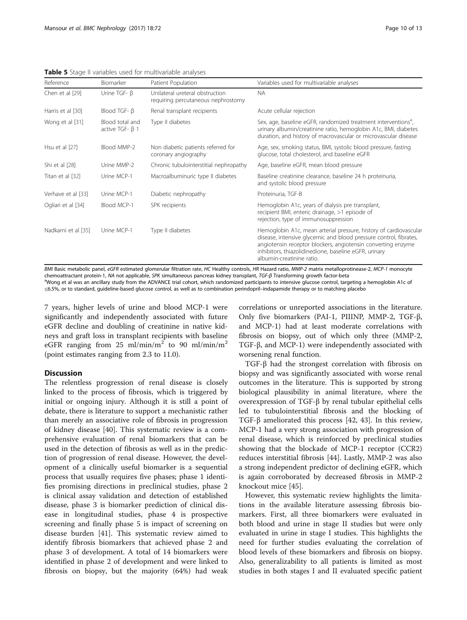<span id="page-9-0"></span>Table 5 Stage II variables used for multivariable analyses

| Reference           | Biomarker                                | Patient Population                                                    | Variables used for multivariable analyses                                                                                                                                                                                                                                                    |
|---------------------|------------------------------------------|-----------------------------------------------------------------------|----------------------------------------------------------------------------------------------------------------------------------------------------------------------------------------------------------------------------------------------------------------------------------------------|
| Chen et al [29]     | Urine $TGF - \beta$                      | Unilateral ureteral obstruction<br>requiring percutaneous nephrostomy | <b>NA</b>                                                                                                                                                                                                                                                                                    |
| Harris et al [30]   | Blood TGF- B                             | Renal transplant recipients                                           | Acute cellular rejection                                                                                                                                                                                                                                                                     |
| Wong et al [31]     | Blood total and<br>active TGF- $\beta$ 1 | Type II diabetes                                                      | Sex, age, baseline eGFR, randomized treatment interventions <sup>a</sup> ,<br>urinary albumin/creatinine ratio, hemoglobin A1c, BMI, diabetes<br>duration, and history of macrovascular or microvascular disease                                                                             |
| Hsu et al [27]      | Blood MMP-2                              | Non diabetic patients referred for<br>coronary angiography            | Age, sex, smoking status, BMI, systolic blood pressure, fasting<br>glucose, total cholesterol, and baseline eGFR                                                                                                                                                                             |
| Shi et al [28]      | Urine MMP-2                              | Chronic tubulointerstitial nephropathy                                | Age, baseline eGFR, mean blood pressure                                                                                                                                                                                                                                                      |
| Titan et al [32]    | Urine MCP-1                              | Macroalbuminuric type II diabetes                                     | Baseline creatinine clearance, baseline 24 h proteinuria,<br>and systolic blood pressure                                                                                                                                                                                                     |
| Verhave et al [33]  | Urine MCP-1                              | Diabetic nephropathy                                                  | Proteinuria, TGF-B                                                                                                                                                                                                                                                                           |
| Ogliari et al [34]  | Blood MCP-1                              | SPK recipients                                                        | Hemoglobin A1c, years of dialysis pre transplant,<br>recipient BMI, enteric drainage, >1 episode of<br>rejection, type of immunosuppression                                                                                                                                                  |
| Nadkarni et al [35] | Urine MCP-1                              | Type II diabetes                                                      | Hemoglobin A1c, mean arterial pressure, history of cardiovascular<br>disease, intensive glycemic and blood pressure control, fibrates,<br>angiotensin receptor blockers, angiotensin converting enzyme<br>inhibitors, thiazolidinedione, baseline eGFR, urinary<br>albumin-creatinine ratio. |

BMI Basic metabolic panel, eGFR estimated glomerular filtration rate, HC Healthy controls, HR Hazard ratio, MMP-2 matrix metalloprotinease-2, MCP-1 monocyte chemoattractant protein-1, NA not applicable, SPK simultaneous pancreas kidney transplant, TGF-<sup>β</sup> Transforming growth factor-beta <sup>a</sup> a Wong et al was an ancillary study from the ADVANCE trial cohort, which randomized participants to intensive glucose control, targeting a hemoglobin A1c of ≤6.5%, or to standard, guideline-based glucose control, as well as to combination perindopril–indapamide therapy or to matching placebo

7 years, higher levels of urine and blood MCP-1 were significantly and independently associated with future eGFR decline and doubling of creatinine in native kidneys and graft loss in transplant recipients with baseline eGFR ranging from 25 ml/min/m<sup>2</sup> to 90 ml/min/m<sup>2</sup> (point estimates ranging from 2.3 to 11.0).

#### **Discussion**

The relentless progression of renal disease is closely linked to the process of fibrosis, which is triggered by initial or ongoing injury. Although it is still a point of debate, there is literature to support a mechanistic rather than merely an associative role of fibrosis in progression of kidney disease [\[40](#page-12-0)]. This systematic review is a comprehensive evaluation of renal biomarkers that can be used in the detection of fibrosis as well as in the prediction of progression of renal disease. However, the development of a clinically useful biomarker is a sequential process that usually requires five phases; phase 1 identifies promising directions in preclinical studies, phase 2 is clinical assay validation and detection of established disease, phase 3 is biomarker prediction of clinical disease in longitudinal studies, phase 4 is prospective screening and finally phase 5 is impact of screening on disease burden [\[41](#page-12-0)]. This systematic review aimed to identify fibrosis biomarkers that achieved phase 2 and phase 3 of development. A total of 14 biomarkers were identified in phase 2 of development and were linked to fibrosis on biopsy, but the majority (64%) had weak correlations or unreported associations in the literature. Only five biomarkers (PAI-1, PIIINP, MMP-2, TGF-β, and MCP-1) had at least moderate correlations with fibrosis on biopsy, out of which only three (MMP-2, TGF-β, and MCP-1) were independently associated with worsening renal function.

TGF-β had the strongest correlation with fibrosis on biopsy and was significantly associated with worse renal outcomes in the literature. This is supported by strong biological plausibility in animal literature, where the overexpression of TGF-β by renal tubular epithelial cells led to tubulointerstitial fibrosis and the blocking of TGF-β ameliorated this process [\[42, 43\]](#page-12-0). In this review, MCP-1 had a very strong association with progression of renal disease, which is reinforced by preclinical studies showing that the blockade of MCP-1 receptor (CCR2) reduces interstitial fibrosis [\[44](#page-12-0)]. Lastly, MMP-2 was also a strong independent predictor of declining eGFR, which is again corroborated by decreased fibrosis in MMP-2 knockout mice [[45](#page-12-0)].

However, this systematic review highlights the limitations in the available literature assessing fibrosis biomarkers. First, all three biomarkers were evaluated in both blood and urine in stage II studies but were only evaluated in urine in stage I studies. This highlights the need for further studies evaluating the correlation of blood levels of these biomarkers and fibrosis on biopsy. Also, generalizability to all patients is limited as most studies in both stages I and II evaluated specific patient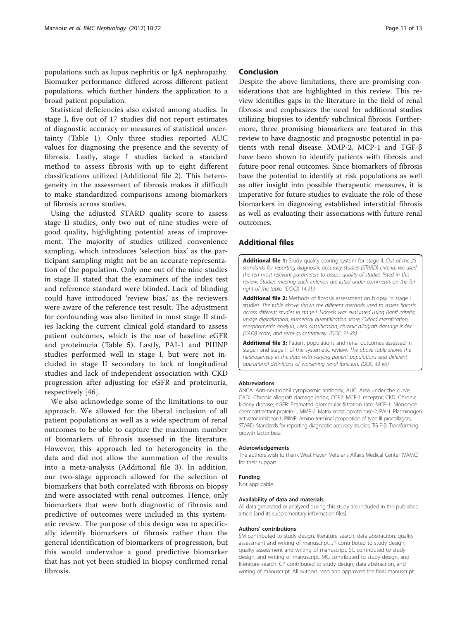<span id="page-10-0"></span>populations such as lupus nephritis or IgA nephropathy. Biomarker performance differed across different patient populations, which further hinders the application to a broad patient population.

Statistical deficiencies also existed among studies. In stage I, five out of 17 studies did not report estimates of diagnostic accuracy or measures of statistical uncertainty (Table [1\)](#page-4-0). Only three studies reported AUC values for diagnosing the presence and the severity of fibrosis. Lastly, stage I studies lacked a standard method to assess fibrosis with up to eight different classifications utilized (Additional file 2). This heterogeneity in the assessment of fibrosis makes it difficult to make standardized comparisons among biomarkers of fibrosis across studies.

Using the adjusted STARD quality score to assess stage II studies, only two out of nine studies were of good quality, highlighting potential areas of improvement. The majority of studies utilized convenience sampling, which introduces 'selection bias' as the participant sampling might not be an accurate representation of the population. Only one out of the nine studies in stage II stated that the examiners of the index test and reference standard were blinded. Lack of blinding could have introduced 'review bias,' as the reviewers were aware of the reference test result. The adjustment for confounding was also limited in most stage II studies lacking the current clinical gold standard to assess patient outcomes, which is the use of baseline eGFR and proteinuria (Table [5\)](#page-9-0). Lastly, PAI-1 and PIIINP studies performed well in stage I, but were not included in stage II secondary to lack of longitudinal studies and lack of independent association with CKD progression after adjusting for eGFR and proteinuria, respectively [[46\]](#page-12-0).

We also acknowledge some of the limitations to our approach. We allowed for the liberal inclusion of all patient populations as well as a wide spectrum of renal outcomes to be able to capture the maximum number of biomarkers of fibrosis assessed in the literature. However, this approach led to heterogeneity in the data and did not allow the summation of the results into a meta-analysis (Additional file 3). In addition, our two-stage approach allowed for the selection of biomarkers that both correlated with fibrosis on biopsy and were associated with renal outcomes. Hence, only biomarkers that were both diagnostic of fibrosis and predictive of outcomes were included in this systematic review. The purpose of this design was to specifically identify biomarkers of fibrosis rather than the general identification of biomarkers of progression, but this would undervalue a good predictive biomarker that has not yet been studied in biopsy confirmed renal fibrosis.

#### Conclusion

Despite the above limitations, there are promising considerations that are highlighted in this review. This review identifies gaps in the literature in the field of renal fibrosis and emphasizes the need for additional studies utilizing biopsies to identify subclinical fibrosis. Furthermore, three promising biomarkers are featured in this review to have diagnostic and prognostic potential in patients with renal disease. MMP-2, MCP-1 and TGF-β have been shown to identify patients with fibrosis and future poor renal outcomes. Since biomarkers of fibrosis have the potential to identify at risk populations as well as offer insight into possible therapeutic measures, it is imperative for future studies to evaluate the role of these biomarkers in diagnosing established interstitial fibrosis as well as evaluating their associations with future renal outcomes.

#### Additional files

[Additional file 1:](dx.doi.org/10.1186/s12882-017-0490-0) Study quality scoring system for stage II. Out of the 25 standards for reporting diagnostic accuracy studies (STARD) criteria, we used the ten most relevant parameters to assess quality of studies listed in this review. Studies meeting each criterion are listed under comments on the far right of the table. (DOCX 14 kb)

[Additional file 2:](dx.doi.org/10.1186/s12882-017-0490-0) Methods of fibrosis assessment on biopsy in stage I studies. The table above shows the different methods used to assess fibrosis across different studies in stage I. Fibrosis was evaluated using Banff criteria, image digitalization, numerical quantification score, Oxford classification, morphometric analysis, Lee's classification, chronic allograft damage index (CADI) score, and semi-quantitatively. (DOC 31 kb)

[Additional file 3:](dx.doi.org/10.1186/s12882-017-0490-0) Patient populations and renal outcomes assessed in stage I and stage II of the systematic review. The above table shows the heterogeneity in the data with varying patient populations and different operational definitions of worsening renal function. (DOC 43 kb)

#### Abbreviations

ANCA: Anti-neutrophil cytoplasmic antibody; AUC: Area under the curve; CADI: Chronic allograft damage index; CCR2: MCP-1 receptor; CKD: Chronic kidney disease; eGFR: Estimated glomerular filtration rate; MCP-1: Monocyte chemoattractant protein-1; MMP-2: Matrix metalloproteinase-2; PAI-1: Plasminogen activator inhibitor-1; PIIINP: Amino-terminal propeptide of type III procollagen; STARD: Standards for reporting diagnostic accuracy studies; TG F-β: Transforming growth factor beta

#### Acknowledgements

The authors wish to thank West Haven Veterans Affairs Medical Center (VAMC) for their support.

#### Funding

Not applicable.

#### Availability of data and materials

All data generated or analyzed during this study are included in this published article [and its supplementary information files].

#### Authors' contributions

SM contributed to study design, literature search, data abstraction, quality assessment and writing of manuscript. JP contributed to study design, quality assessment and writing of manuscript. SC contributed to study design, and writing of manuscript. MG contributed to study design, and literature search. CP contributed to study design, data abstraction, and writing of manuscript. All authors read and approved the final manuscript.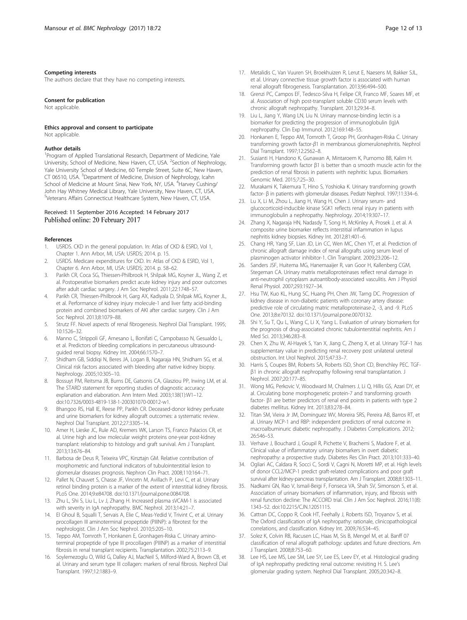#### <span id="page-11-0"></span>Competing interests

The authors declare that they have no competing interests.

#### Consent for publication

Not applicable.

#### Ethics approval and consent to participate

Not applicable

#### Author details

<sup>1</sup> Program of Applied Translational Research, Department of Medicine, Yale University, School of Medicine, New Haven, CT, USA. <sup>2</sup>Section of Nephrology, Yale University School of Medicine, 60 Temple Street, Suite 6C, New Haven, CT 06510, USA. <sup>3</sup>Department of Medicine, Division of Nephrology, Icahn School of Medicine at Mount Sinai, New York, NY, USA. <sup>4</sup>Harvey Cushing/ John Hay Whitney Medical Library, Yale University, New Haven, CT, USA. 5 Veterans Affairs Connecticut Healthcare System, New Haven, CT, USA.

#### Received: 11 September 2016 Accepted: 14 February 2017 Published online: 20 February 2017

#### References

- USRDS. CKD in the general population. In: Atlas of CKD & ESRD, Vol 1, Chapter 1. Ann Arbor, MI, USA: USRDS; 2014. p. 15.
- 2. USRDS. Medicare expenditures for CKD. In: Atlas of CKD & ESRD, Vol 1, Chapter 6. Ann Arbor, MI, USA: USRDS; 2014. p. 58–62.
- 3. Parikh CR, Coca SG, Thiessen-Philbrook H, Shilpak MG, Koyner JL, Wang Z, et al. Postoperative biomarkers predict acute kidney injury and poor outcomes after adult cardiac surgery. J Am Soc Nephrol. 2011;22:1748–57.
- 4. Parikh CR, Thiessen-Philbrook H, Garg AX, Kadiyala D, Shilpak MG, Koyner JL, et al. Performance of kidney injury molecule-1 and liver fatty acid-binding protein and combined biomarkers of AKI after cardiac surgery. Clin J Am Soc Nephrol. 2013;8:1079–88.
- 5. Strutz FF. Novel aspects of renal fibrogenesis. Nephrol Dial Transplant. 1995; 10:1526–32.
- 6. Manno C, Strippoli GF, Arnesano L, Bonifati C, Campobasso N, Gesualdo L, et al. Predictors of bleeding complications in percutaneous ultrasoundguided renal biopsy. Kidney Int. 2004;66:1570–7.
- 7. Shidham GB, Siddiqi N, Beres JA, Logan B, Nagaraja HN, Shidham SG, et al. Clinical risk factors associated with bleeding after native kidney biopsy. Nephrology. 2005;10:305–10.
- 8. Bossuyt PM, Reitsma JB, Burns DE, Gatsonis CA, Glasziou PP, Irwing LM, et al. The STARD statement for reporting studies of diagnostic accuracy: explanation and elaboration. Ann Intern Med. 2003;138(1):W1–12. doi[:10.7326/0003-4819-138-1-200301070-00012-w1.](http://dx.doi.org/10.7326/0003-4819-138-1-200301070-00012-w1)
- 9. Bhangoo RS, Hall IE, Reese PP, Parikh CR. Deceased-donor kidney perfusate and urine biomarkers for kidney allograft outcomes: a systematic review. Nephrol Dial Transplant. 2012;27:3305–14.
- 10. Amer H, Lieske JC, Rule AD, Kremers WK, Larson TS, Franco Palacios CR, et al. Urine high and low molecular weight proteins one-year post-kidney transplant: relationship to histology and graft survival. Am J Transplant. 2013;13:676–84.
- 11. Barbosa de Deus R, Teixeira VPC, Kirsztajn GM. Relative contribution of morphometric and functional indicators of tubulointerstitial lesion to glomerular diseases prognosis. Nephron Clin Pract. 2008;110:164–71.
- 12. Pallet N, Chauvet S, Chasse JF, Vincetn M, Avillach P, Levi C, et al. Urinary retinol binding protein is a marker of the extent of interstitial kidney fibrosis. PLoS One. 2014;9:e84708. doi[:10.1371/journal.pone.0084708](http://dx.doi.org/10.1371/journal.pone.0084708).
- 13. Zhu L, Shi S, Liu L, Lv J, Zhang H. Increased plasma sVCAM-1 is associated with severity in IgA nephropathy. BMC Nephrol. 2013;14:21–7.
- 14. El Ghoul B, Squalli T, Servais A, Elie C, Meas-Yedid V, Trivint C, et al. Urinary procollagen III aminoterminal propeptide (PIIINP): a fibrotest for the nephrologist. Clin J Am Soc Nephrol. 2010;5:205–10.
- 15. Teppo AM, Tornroth T, Honkanen E, Gronhagen-Riska C. Urinary aminoterminal propeptide of type III procollagen (PIIINP) as a marker of interstitial fibrosis in renal transplant recipients. Transplantation. 2002;75:2113–9.
- 16. Soylemezoglu O, Wild G, Dalley AJ, MacNeil S, Milford-Ward A, Brown CB, et al. Urinary and serum type III collagen: markers of renal fibrosis. Nephrol Dial Transplant. 1997;12:1883–9.
- 17. Metalidis C, Van Vuuren SH, Broekhuizen R, Lerut E, Naesens M, Bakker SJL, et al. Urinary connective tissue growth factor is associated with human renal allograft fibrogenesis. Transplantation. 2013;96:494–500.
- 18. Grenzi PC, Campos EF, Tedesco-Silva H, Felipe CR, Franco MF, Soares MF, et al. Association of high post-transplant soluble CD30 serum levels with chronic allograft nephropathy. Transplant. 2013;29:34–8.
- 19. Liu L, Jiang Y, Wang LN, Liu N. Urinary mannose-binding lectin is a biomarker for predicting the progression of immunoglobulin (Ig)A nephropathy. Clin Exp Immunol. 2012;169:148–55.
- 20. Honkanen E, Teppo AM, Tornroth T, Groop PH, Gronhagen-Riska C. Urinary transforming growth factor-β1 in membranous glomerulonephritis. Nephrol Dial Transplant. 1997;12:2562–8.
- 21. Susianti H, Handono K, Gunawan A, Mintaroem K, Purnomo BB, Kalim H. Transforming growth factor β1 is better than α smooth muscle actin for the prediction of renal fibrosis in patients with nephritic lupus. Biomarkers Genomic Med. 2015;7:25–30.
- 22. Murakami K, Takemura T, Hino S, Yoshioka K. Urinary transforming growth factor- β in patients with glomerular diseases. Pediatr Nephrol. 1997;11:334–6.
- 23. Lu X, Li M, Zhou L, Jiang H, Wang H, Chen J. Urinary serum- and glucocorticoid-inducible kinase SGK1 reflects renal injury in patients with immunoglobulin a nephropathy. Nephrology. 2014;19:307–17.
- 24. Zhang X, Nagaraja HN, Nadasdy T, Song H, McKinley A, Prosek J, et al. A composite urine biomarker reflects interstitial inflammation in lupus nephritis kidney biopsies. Kidney Int. 2012;81:401–6.
- 25. Chang HR, Yang SF, Lian JD, Lin CC, Wen MC, Chen YT, et al. Prediction of chronic allograft damage index of renal allografts using serum level of plasminogen activator inhibitor-1. Clin Transplant. 2009;23:206–12.
- 26. Sanders JSF, Huitema MG, Hanemaaijer R, van Goor H, Kallenberg CGM, Stegeman CA. Urinary matrix metalloproteinases reflect renal damage in anti-neutrophil cytoplasm autoantibody-associated vasculitis. Am J Physiol Renal Physiol. 2007;293:1927–34.
- 27. Hsu TW, Kuo KL, Hung SC, Huang PH, Chen JW, Tarng DC. Progression of kidney disease in non-diabetic patients with coronary artery disease: predictive role of circulating matric metalloproteinase-2, -3, and -9. PLoS One. 2013;8:e70132. doi:[10.1371/journal.pone.0070132](http://dx.doi.org/10.1371/journal.pone.0070132).
- 28. Shi Y, Su T, Qu L, Wang C, Li X, Yang L. Evaluation of urinary biomarkers for the prognosis of drug-associated chronic tubulointerstitial nephritis. Am J Med Sci. 2013;346:283–8.
- 29. Chen X, Zhu W, Al-Hayek S, Yan X, Jiang C, Zheng X, et al. Urinary TGF-1 has supplementary value in predicting renal recovery post unilateral ureteral obstruction. Int Urol Nephrol. 2015;47:33–7.
- 30. Harris S, Coupes BM, Roberts SA, Roberts ISD, Short CD, Brenchley PEC. TGFβ1 in chronic allograft nephropathy following renal transplantation. J Nephrol. 2007;20:177–85.
- 31. Wong MG, Perkovic V, Woodward M, Chalmers J, Li Q, Hillis GS, Azari DY, et al. Circulating bone morphogenetic protein-7 and transforming growth factor- β1 are better predictors of renal end points in patients with type 2 diabetes mellitus. Kidney Int. 2013;83:278–84.
- 32. Titan SM, Vieira Jr JM, Dominguez WV, Moreira SRS, Pereira AB, Barros RT, et al. Urinary MCP-1 and RBP: independent predictors of renal outcome in macroalbuminuric diabetic nephropathy. J Diabetes Complications. 2012; 26:546–53.
- 33. Verhave J, Bouchard J, Goupil R, Pichette V, Brachemi S, Madore F, et al. Clinical value of inflammatory urinary biomarkers in overt diabetic nephropathy: a prospective study. Diabetes Res Clin Pract. 2013;101:333–40.
- 34. Ogliari AC, Caldara R, Socci C, Sordi V, Cagni N, Moretti MP, et al. High levels of donor CCL2/MCP-1 predict graft-related complications and poor graft survival after kidney-pancreas transplantation. Am J Transplant. 2008;8:1303–11.
- 35. Nadkarni GN, Rao V, Ismail-Beigi F, Fonseca VA, Shah SV, Simonson S, et al. Association of urinary biomarkers of inflammation, injury, and fibrosis with renal function decline: The ACCORD trial. Clin J Am Soc Nephrol. 2016;11(8): 1343–52. doi[:10.2215/CJN.12051115.](http://dx.doi.org/10.2215/CJN.12051115)
- 36. Cattran DC, Coppo R, Cook HT, Feehally J, Roberts ISD, Troyanov S, et al. The Oxford classification of IgA nephropathy: rationale, clinicopathological correlations, and classification. Kidney Int. 2009;76:534–45.
- 37. Solez K, Colvin RB, Racusen LC, Haas M, Sis B, Mengel M, et al. Banff 07 classification of renal allograft pathology: updates and future directions. Am J Transplant. 2008;8:753–60.
- 38. Lee HS, Lee MS, Lee SM, Lee SY, Lee ES, Leev EY, et al. Histological grading of IgA nephropathy predicting renal outcome: revisiting H. S. Lee's glomerular grading system. Nephrol Dial Transplant. 2005;20:342–8.